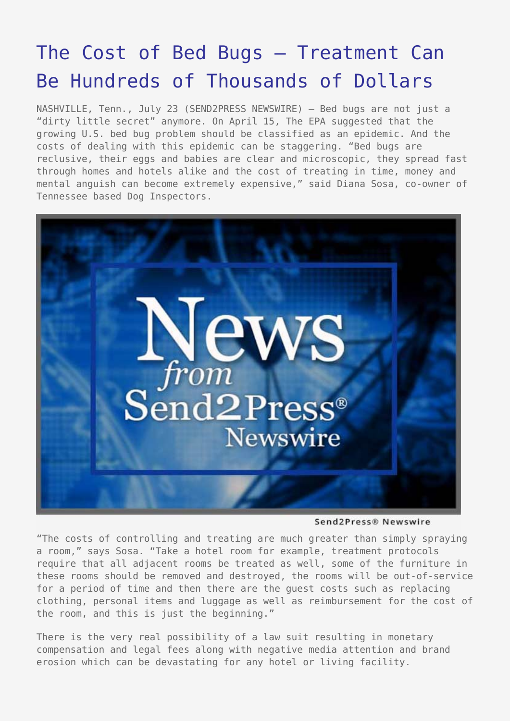## [The Cost of Bed Bugs – Treatment Can](https://www.send2press.com/wire/2009-07-0723-002/) [Be Hundreds of Thousands of Dollars](https://www.send2press.com/wire/2009-07-0723-002/)

NASHVILLE, Tenn., July 23 (SEND2PRESS NEWSWIRE) — Bed bugs are not just a "dirty little secret" anymore. On April 15, The EPA suggested that the growing U.S. bed bug problem should be classified as an epidemic. And the costs of dealing with this epidemic can be staggering. "Bed bugs are reclusive, their eggs and babies are clear and microscopic, they spread fast through homes and hotels alike and the cost of treating in time, money and mental anguish can become extremely expensive," said Diana Sosa, co-owner of Tennessee based Dog Inspectors.



Send2Press® Newswire

"The costs of controlling and treating are much greater than simply spraying a room," says Sosa. "Take a hotel room for example, treatment protocols require that all adjacent rooms be treated as well, some of the furniture in these rooms should be removed and destroyed, the rooms will be out-of-service for a period of time and then there are the guest costs such as replacing clothing, personal items and luggage as well as reimbursement for the cost of the room, and this is just the beginning."

There is the very real possibility of a law suit resulting in monetary compensation and legal fees along with negative media attention and brand erosion which can be devastating for any hotel or living facility.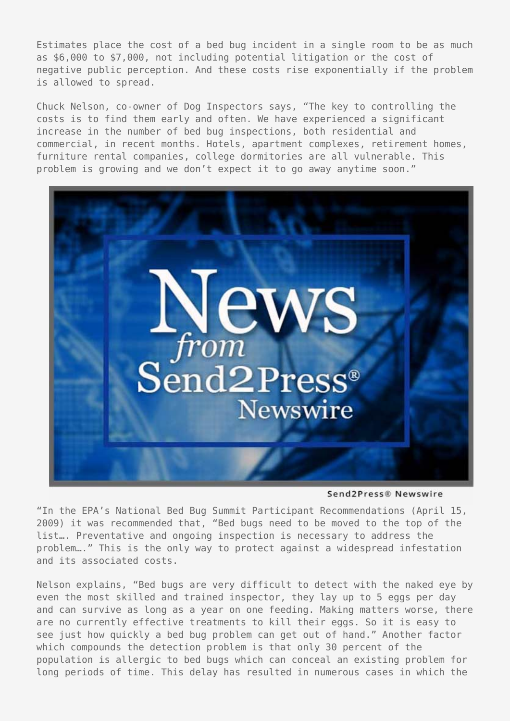Estimates place the cost of a bed bug incident in a single room to be as much as \$6,000 to \$7,000, not including potential litigation or the cost of negative public perception. And these costs rise exponentially if the problem is allowed to spread.

Chuck Nelson, co-owner of Dog Inspectors says, "The key to controlling the costs is to find them early and often. We have experienced a significant increase in the number of bed bug inspections, both residential and commercial, in recent months. Hotels, apartment complexes, retirement homes, furniture rental companies, college dormitories are all vulnerable. This problem is growing and we don't expect it to go away anytime soon."



Send2Press® Newswire

"In the EPA's National Bed Bug Summit Participant Recommendations (April 15, 2009) it was recommended that, "Bed bugs need to be moved to the top of the list…. Preventative and ongoing inspection is necessary to address the problem…." This is the only way to protect against a widespread infestation and its associated costs.

Nelson explains, "Bed bugs are very difficult to detect with the naked eye by even the most skilled and trained inspector, they lay up to 5 eggs per day and can survive as long as a year on one feeding. Making matters worse, there are no currently effective treatments to kill their eggs. So it is easy to see just how quickly a bed bug problem can get out of hand." Another factor which compounds the detection problem is that only 30 percent of the population is allergic to bed bugs which can conceal an existing problem for long periods of time. This delay has resulted in numerous cases in which the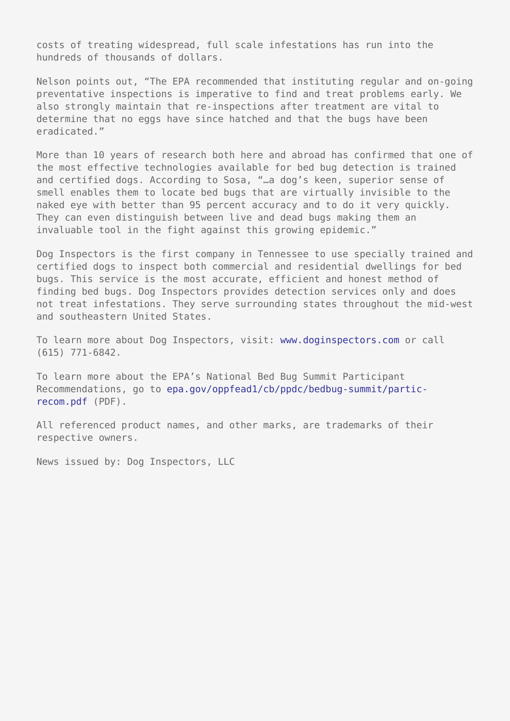costs of treating widespread, full scale infestations has run into the hundreds of thousands of dollars.

Nelson points out, "The EPA recommended that instituting regular and on-going preventative inspections is imperative to find and treat problems early. We also strongly maintain that re-inspections after treatment are vital to determine that no eggs have since hatched and that the bugs have been eradicated."

More than 10 years of research both here and abroad has confirmed that one of the most effective technologies available for bed bug detection is trained and certified dogs. According to Sosa, "…a dog's keen, superior sense of smell enables them to locate bed bugs that are virtually invisible to the naked eye with better than 95 percent accuracy and to do it very quickly. They can even distinguish between live and dead bugs making them an invaluable tool in the fight against this growing epidemic."

Dog Inspectors is the first company in Tennessee to use specially trained and certified dogs to inspect both commercial and residential dwellings for bed bugs. This service is the most accurate, efficient and honest method of finding bed bugs. Dog Inspectors provides detection services only and does not treat infestations. They serve surrounding states throughout the mid-west and southeastern United States.

To learn more about Dog Inspectors, visit: [www.doginspectors.com](http://www.doginspectors.com) or call (615) 771-6842.

To learn more about the EPA's National Bed Bug Summit Participant Recommendations, go to [epa.gov/oppfead1/cb/ppdc/bedbug-summit/partic](http://www.epa.gov/oppfead1/cb/ppdc/bedbug-summit/partic-recom.pdf)[recom.pdf](http://www.epa.gov/oppfead1/cb/ppdc/bedbug-summit/partic-recom.pdf) (PDF).

All referenced product names, and other marks, are trademarks of their respective owners.

News issued by: Dog Inspectors, LLC